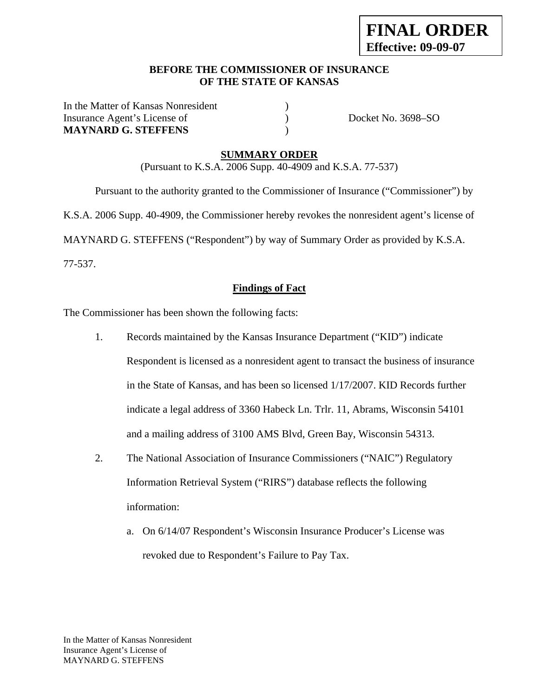#### **BEFORE THE COMMISSIONER OF INSURANCE OF THE STATE OF KANSAS**

In the Matter of Kansas Nonresident Insurance Agent's License of  $Docket No. 3698-SO$ **MAYNARD G. STEFFENS** )

#### **SUMMARY ORDER**

(Pursuant to K.S.A. 2006 Supp. 40-4909 and K.S.A. 77-537)

 Pursuant to the authority granted to the Commissioner of Insurance ("Commissioner") by K.S.A. 2006 Supp. 40-4909, the Commissioner hereby revokes the nonresident agent's license of MAYNARD G. STEFFENS ("Respondent") by way of Summary Order as provided by K.S.A. 77-537.

#### **Findings of Fact**

The Commissioner has been shown the following facts:

- 1. Records maintained by the Kansas Insurance Department ("KID") indicate Respondent is licensed as a nonresident agent to transact the business of insurance in the State of Kansas, and has been so licensed 1/17/2007. KID Records further indicate a legal address of 3360 Habeck Ln. Trlr. 11, Abrams, Wisconsin 54101 and a mailing address of 3100 AMS Blvd, Green Bay, Wisconsin 54313.
- 2. The National Association of Insurance Commissioners ("NAIC") Regulatory Information Retrieval System ("RIRS") database reflects the following information:
	- a. On 6/14/07 Respondent's Wisconsin Insurance Producer's License was revoked due to Respondent's Failure to Pay Tax.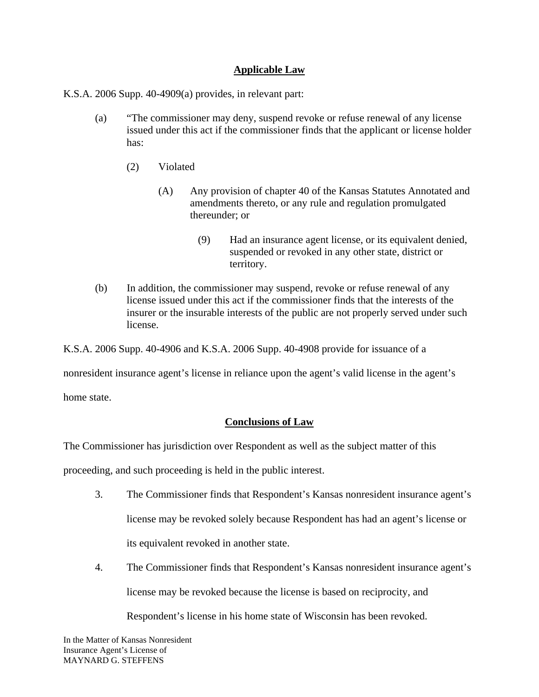## **Applicable Law**

K.S.A. 2006 Supp. 40-4909(a) provides, in relevant part:

- (a) "The commissioner may deny, suspend revoke or refuse renewal of any license issued under this act if the commissioner finds that the applicant or license holder has:
	- (2) Violated
		- (A) Any provision of chapter 40 of the Kansas Statutes Annotated and amendments thereto, or any rule and regulation promulgated thereunder; or
			- (9) Had an insurance agent license, or its equivalent denied, suspended or revoked in any other state, district or territory.
- (b) In addition, the commissioner may suspend, revoke or refuse renewal of any license issued under this act if the commissioner finds that the interests of the insurer or the insurable interests of the public are not properly served under such license.

K.S.A. 2006 Supp. 40-4906 and K.S.A. 2006 Supp. 40-4908 provide for issuance of a

nonresident insurance agent's license in reliance upon the agent's valid license in the agent's

home state.

## **Conclusions of Law**

The Commissioner has jurisdiction over Respondent as well as the subject matter of this

proceeding, and such proceeding is held in the public interest.

- 3. The Commissioner finds that Respondent's Kansas nonresident insurance agent's license may be revoked solely because Respondent has had an agent's license or its equivalent revoked in another state.
- 4. The Commissioner finds that Respondent's Kansas nonresident insurance agent's license may be revoked because the license is based on reciprocity, and

Respondent's license in his home state of Wisconsin has been revoked.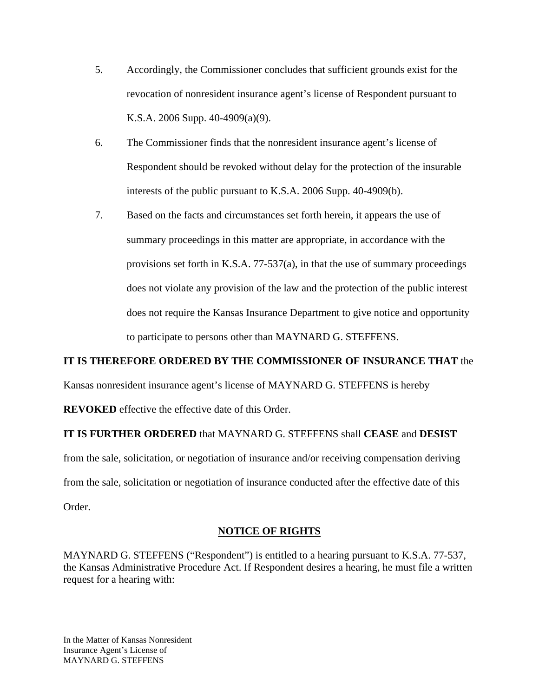- 5. Accordingly, the Commissioner concludes that sufficient grounds exist for the revocation of nonresident insurance agent's license of Respondent pursuant to K.S.A. 2006 Supp. 40-4909(a)(9).
- 6. The Commissioner finds that the nonresident insurance agent's license of Respondent should be revoked without delay for the protection of the insurable interests of the public pursuant to K.S.A. 2006 Supp. 40-4909(b).
- 7. Based on the facts and circumstances set forth herein, it appears the use of summary proceedings in this matter are appropriate, in accordance with the provisions set forth in K.S.A. 77-537(a), in that the use of summary proceedings does not violate any provision of the law and the protection of the public interest does not require the Kansas Insurance Department to give notice and opportunity to participate to persons other than MAYNARD G. STEFFENS.

## **IT IS THEREFORE ORDERED BY THE COMMISSIONER OF INSURANCE THAT** the

Kansas nonresident insurance agent's license of MAYNARD G. STEFFENS is hereby

**REVOKED** effective the effective date of this Order.

## **IT IS FURTHER ORDERED** that MAYNARD G. STEFFENS shall **CEASE** and **DESIST**

from the sale, solicitation, or negotiation of insurance and/or receiving compensation deriving from the sale, solicitation or negotiation of insurance conducted after the effective date of this Order.

## **NOTICE OF RIGHTS**

MAYNARD G. STEFFENS ("Respondent") is entitled to a hearing pursuant to K.S.A. 77-537, the Kansas Administrative Procedure Act. If Respondent desires a hearing, he must file a written request for a hearing with: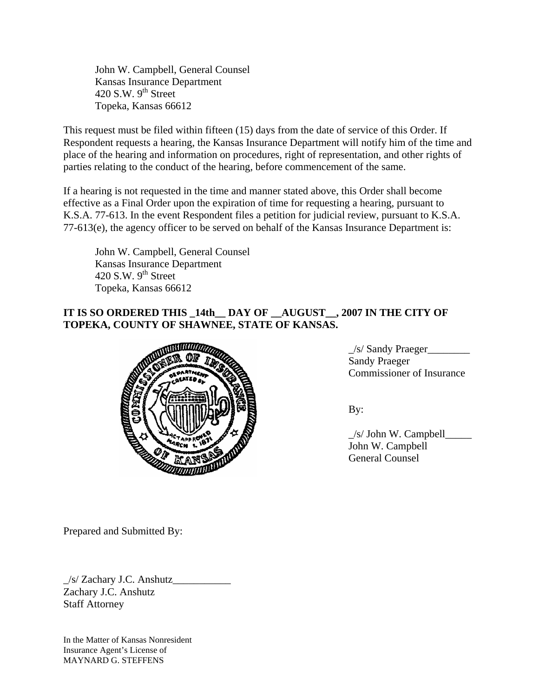John W. Campbell, General Counsel Kansas Insurance Department 420 S.W.  $9<sup>th</sup>$  Street Topeka, Kansas 66612

This request must be filed within fifteen (15) days from the date of service of this Order. If Respondent requests a hearing, the Kansas Insurance Department will notify him of the time and place of the hearing and information on procedures, right of representation, and other rights of parties relating to the conduct of the hearing, before commencement of the same.

If a hearing is not requested in the time and manner stated above, this Order shall become effective as a Final Order upon the expiration of time for requesting a hearing, pursuant to K.S.A. 77-613. In the event Respondent files a petition for judicial review, pursuant to K.S.A. 77-613(e), the agency officer to be served on behalf of the Kansas Insurance Department is:

 John W. Campbell, General Counsel Kansas Insurance Department 420 S.W.  $9<sup>th</sup>$  Street Topeka, Kansas 66612

# **IT IS SO ORDERED THIS \_14th\_\_ DAY OF \_\_AUGUST\_\_, 2007 IN THE CITY OF TOPEKA, COUNTY OF SHAWNEE, STATE OF KANSAS.**



\_/s/ Sandy Praeger\_\_\_\_\_\_\_\_ Sandy Praeger Commissioner of Insurance

 $\angle$ s/ John W. Campbell $\angle$  John W. Campbell General Counsel

Prepared and Submitted By:

 $\frac{1}{s}$  Zachary J.C. Anshutz Zachary J.C. Anshutz Staff Attorney

In the Matter of Kansas Nonresident Insurance Agent's License of MAYNARD G. STEFFENS